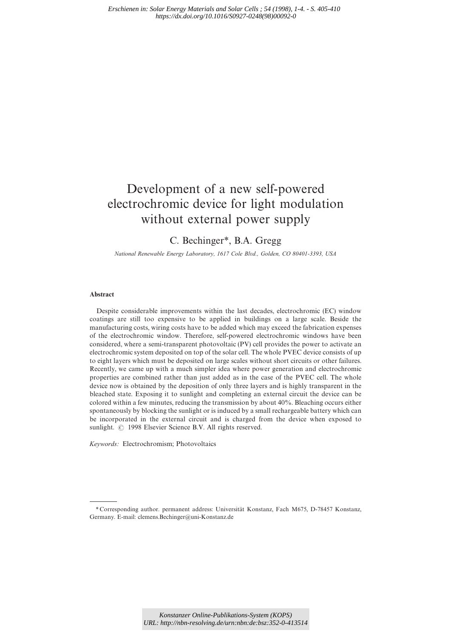# Development of a new self-powered electrochromic device for light modulation without external power supply

# C. Bechinger\*, B.A. Gregg

*National Renewable Energy Laboratory, 1617 Cole Bl*v*d., Golden, CO 80401-3393, USA*

## Abstract

Despite considerable improvements within the last decades, electrochromic (EC) window coatings are still too expensive to be applied in buildings on a large scale. Beside the manufacturing costs, wiring costs have to be added which may exceed the fabrication expenses of the electrochromic window. Therefore, self-powered electrochromic windows have been considered, where a semi-transparent photovoltaic (PV) cell provides the power to activate an electrochromic system deposited on top of the solar cell. The whole PVEC device consists of up to eight layers which must be deposited on large scales without short circuits or other failures. Recently, we came up with a much simpler idea where power generation and electrochromic properties are combined rather than just added as in the case of the PVEC cell. The whole device now is obtained by the deposition of only three layers and is highly transparent in the bleached state. Exposing it to sunlight and completing an external circuit the device can be colored within a few minutes, reducing the transmission by about 40%. Bleaching occurs either spontaneously by blocking the sunlight or is induced by a small rechargeable battery which can be incorporated in the external circuit and is charged from the device when exposed to sunlight. © 1998 Elsevier Science B.V. All rights reserved.

*Keywords:* Electrochromism; Photovoltaics

<sup>\*</sup> Corresponding author. permanent address: Universität Konstanz, Fach M675, D-78457 Konstanz, Germany. E-mail: clemens.Bechinger@uni-Konstanz.de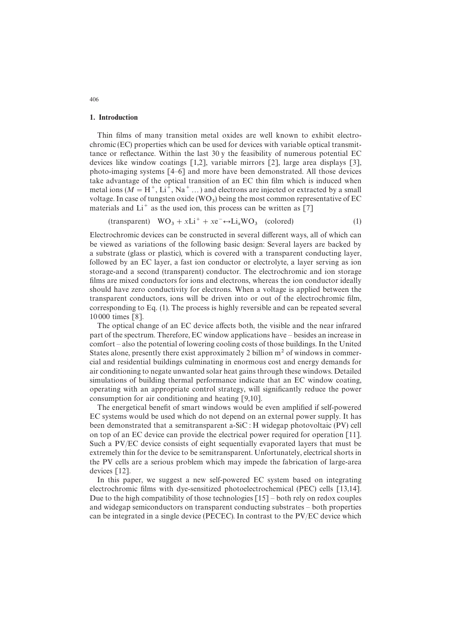#### 1. Introduction

Thin films of many transition metal oxides are well known to exhibit electrochromic (EC) properties which can be used for devices with variable optical transmittance or reflectance. Within the last 30 y the feasibility of numerous potential EC devices like window coatings [1,2], variable mirrors [2], large area displays [3], photo-imaging systems [4—6] and more have been demonstrated. All those devices take advantage of the optical transition of an EC thin film which is induced when metal ions ( $\overline{M} = H^+$ , Li<sup> $\hat{+}$ </sup>, Na<sup>+</sup> ...) and electrons are injected or extracted by a small voltage. In case of tungsten oxide (WO<sub>3</sub>) being the most common representative of EC materials and  $Li<sup>+</sup>$  as the used ion, this process can be written as  $[7]$ 

(transparent)  $WO_3 + xLi^+ + xe^- \leftrightarrow Li_xWO_3$  (colored) (1)

Electrochromic devices can be constructed in several different ways, all of which can be viewed as variations of the following basic design: Several layers are backed by a substrate (glass or plastic), which is covered with a transparent conducting layer, followed by an EC layer, a fast ion conductor or electrolyte, a layer serving as ion storage-and a second (transparent) conductor. The electrochromic and ion storage films are mixed conductors for ions and electrons, whereas the ion conductor ideally should have zero conductivity for electrons. When a voltage is applied between the transparent conductors, ions will be driven into or out of the electrochromic film, corresponding to Eq. (1). The process is highly reversible and can be repeated several 10 000 times [8].

The optical change of an EC device affects both, the visible and the near infrared part of the spectrum. Therefore, EC window applications have — besides an increase in comfort — also the potential of lowering cooling costs of those buildings. In the United States alone, presently there exist approximately 2 billion  $m<sup>2</sup>$  of windows in commercial and residential buildings culminating in enormous cost and energy demands for air conditioning to negate unwanted solar heat gains through these windows. Detailed simulations of building thermal performance indicate that an EC window coating, operating with an appropriate control strategy, will significantly reduce the power consumption for air conditioning and heating [9,10].

The energetical benefit of smart windows would be even amplified if self-powered EC systems would be used which do not depend on an external power supply. It has been demonstrated that a semitransparent a-SiC : H widegap photovoltaic (PV) cell on top of an EC device can provide the electrical power required for operation [11]. Such a PV/EC device consists of eight sequentially evaporated layers that must be extremely thin for the device to be semitransparent. Unfortunately, electrical shorts in the PV cells are a serious problem which may impede the fabrication of large-area devices [12].

In this paper, we suggest a new self-powered EC system based on integrating electrochromic films with dye-sensitized photoelectrochemical (PEC) cells [13,14]. Due to the high compatibility of those technologies  $\lceil 15 \rceil$  – both rely on redox couples and widegap semiconductors on transparent conducting substrates — both properties can be integrated in a single device (PECEC). In contrast to the PV/EC device which

406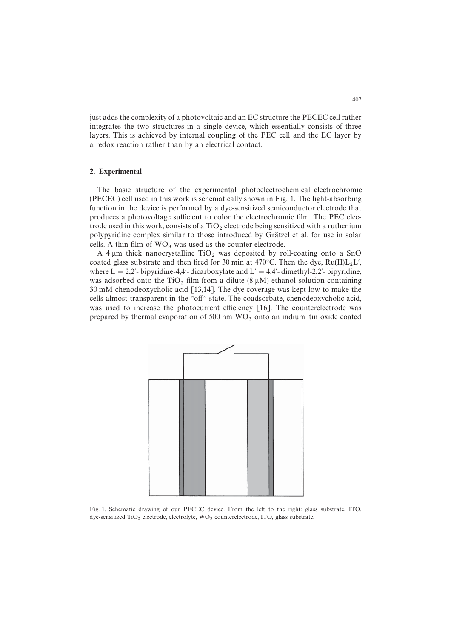just adds the complexity of a photovoltaic and an EC structure the PECEC cell rather integrates the two structures in a single device, which essentially consists of three layers. This is achieved by internal coupling of the PEC cell and the EC layer by a redox reaction rather than by an electrical contact.

#### 2. Experimental

The basic structure of the experimental photoelectrochemical—electrochromic (PECEC) cell used in this work is schematically shown in Fig. 1. The light-absorbing function in the device is performed by a dye-sensitized semiconductor electrode that produces a photovoltage sufficient to color the electrochromic film. The PEC electrode used in this work, consists of a  $TiO<sub>2</sub>$  electrode being sensitized with a ruthenium polypyridine complex similar to those introduced by Grätzel et al. for use in solar cells. A thin film of  $WO_3$  was used as the counter electrode.

A 4  $\mu$ m thick nanocrystalline TiO<sub>2</sub> was deposited by roll-coating onto a SnO coated glass substrate and then fired for 30 min at  $470^{\circ}$ C. Then the dye,  $Ru(II)L_2L'$ , where  $L = 2.2'$ - bipyridine-4,4'- dicarboxylate and  $L' = 4.4'$ - dimethyl-2.2'- bipyridine, was adsorbed onto the  $TiO<sub>2</sub>$  film from a dilute (8  $\mu$ M) ethanol solution containing 30 mM chenodeoxycholic acid [13,14]. The dye coverage was kept low to make the cells almost transparent in the "off" state. The coadsorbate, chenodeoxycholic acid, was used to increase the photocurrent efficiency [16]. The counterelectrode was prepared by thermal evaporation of  $500 \text{ nm}$  WO<sub>3</sub> onto an indium-tin oxide coated



Fig. 1. Schematic drawing of our PECEC device. From the left to the right: glass substrate, ITO, dye-sensitized  $TiO_2$  electrode, electrolyte,  $WO_3$  counterelectrode, ITO, glass substrate.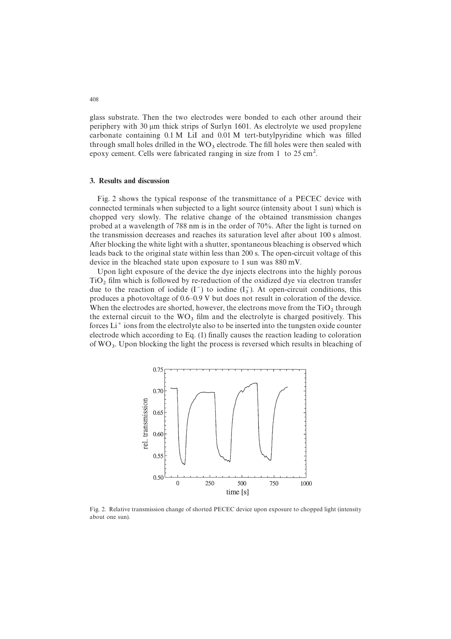glass substrate. Then the two electrodes were bonded to each other around their periphery with 30  $\mu$ m thick strips of Surlyn 1601. As electrolyte we used propylene carbonate containing 0.1 M LiI and 0.01 M tert-butylpyridine which was filled through small holes drilled in the  $WO_3$  electrode. The fill holes were then sealed with epoxy cement. Cells were fabricated ranging in size from 1 to 25 cm<sup>2</sup>.

#### 3. Results and discussion

Fig. 2 shows the typical response of the transmittance of a PECEC device with connected terminals when subjected to a light source (intensity about 1 sun) which is chopped very slowly. The relative change of the obtained transmission changes probed at a wavelength of 788 nm is in the order of 70%. After the light is turned on the transmission decreases and reaches its saturation level after about 100 s almost. After blocking the white light with a shutter, spontaneous bleaching is observed which leads back to the original state within less than 200 s. The open-circuit voltage of this device in the bleached state upon exposure to 1 sun was 880 mV.

Upon light exposure of the device the dye injects electrons into the highly porous  $TiO<sub>2</sub>$  film which is followed by re-reduction of the oxidized dye via electron transfer due to the reaction of iodide  $(I^-)$  to iodine  $(I^-_3)$ . At open-circuit conditions, this produces a photovoltage of 0.6—0.9 V but does not result in coloration of the device. When the electrodes are shorted, however, the electrons move from the  $TiO<sub>2</sub>$  through the external circuit to the  $WO_3$  film and the electrolyte is charged positively. This forces Li<sup>+</sup> ions from the electrolyte also to be inserted into the tungsten oxide counter electrode which according to Eq. (1) finally causes the reaction leading to coloration of  $WO_3$ . Upon blocking the light the process is reversed which results in bleaching of



Fig. 2. Relative transmission change of shorted PECEC device upon exposure to chopped light (intensity about one sun).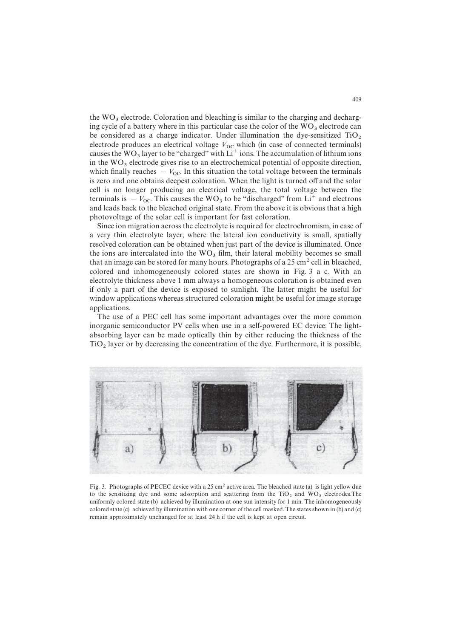the  $WO_3$  electrode. Coloration and bleaching is similar to the charging and decharging cycle of a battery where in this particular case the color of the  $WO_3$  electrode can be considered as a charge indicator. Under illumination the dye-sensitized  $TiO_2$ <br>electrode produces an electrical voltage  $V_{OC}$  which (in case of connected terminals) causes the WO<sub>3</sub> layer to be "charged" with  $Li<sup>+</sup>$  ions. The accumulation of lithium ions in the  $WO_3$  electrode gives rise to an electrochemical potential of opposite direction, which finally reaches  $- V_{\text{OC}}$ . In this situation the total voltage between the terminals is zero and one obtains deepest coloration. When the light is turned off and the solar cell is no longer producing an electrical voltage, the total voltage between the terminals is  $-V_{\text{OC}}$ . This causes the WO<sub>3</sub> to be "discharged" from Li<sup>+</sup> and electrons and leads back to the bleached original state. From the above it is obvious that a high photovoltage of the solar cell is important for fast coloration.

Since ion migration across the electrolyte is required for electrochromism, in case of a very thin electrolyte layer, where the lateral ion conductivity is small, spatially resolved coloration can be obtained when just part of the device is illuminated. Once the ions are intercalated into the  $WO_3$  film, their lateral mobility becomes so small that an image can be stored for many hours. Photographs of a  $25 \text{ cm}^2$  cell in bleached, colored and inhomogeneously colored states are shown in Fig.  $3$  a–c. With an electrolyte thickness above 1 mm always a homogeneous coloration is obtained even if only a part of the device is exposed to sunlight. The latter might be useful for window applications whereas structured coloration might be useful for image storage applications.

The use of a PEC cell has some important advantages over the more common inorganic semiconductor PV cells when use in a self-powered EC device: The lightabsorbing layer can be made optically thin by either reducing the thickness of the  $TiO<sub>2</sub>$  layer or by decreasing the concentration of the dye. Furthermore, it is possible,



Fig. 3. Photographs of PECEC device with a 25 cm<sup>2</sup> active area. The bleached state (a) is light yellow due to the sensitizing dye and some adsorption and scattering from the  $TiO<sub>2</sub>$  and  $WO<sub>3</sub>$  electrodes. The uniformly colored state (b) achieved by illumination at one sun intensity for 1 min. The inhomogeneously colored state (c) achieved by illumination with one corner of the cell masked. The states shown in (b) and (c) remain approximately unchanged for at least 24 h if the cell is kept at open circuit.